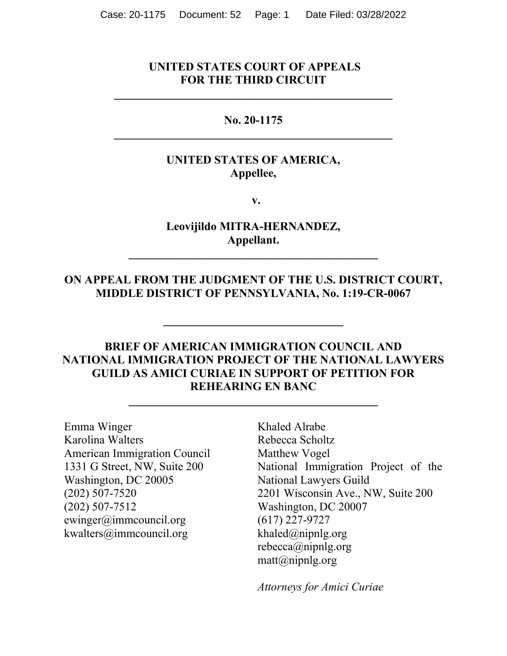#### **UNITED STATES COURT OF APPEALS FOR THE THIRD CIRCUIT**

**\_\_\_\_\_\_\_\_\_\_\_\_\_\_\_\_\_\_\_\_\_\_\_\_\_\_\_\_\_\_\_\_\_\_\_\_\_\_\_\_\_\_\_\_\_\_\_\_**

### **No. 20-1175 \_\_\_\_\_\_\_\_\_\_\_\_\_\_\_\_\_\_\_\_\_\_\_\_\_\_\_\_\_\_\_\_\_\_\_\_\_\_\_\_\_\_\_\_\_\_\_\_**

#### **UNITED STATES OF AMERICA, Appellee,**

 **v.**

**Leovijildo MITRA-HERNANDEZ, Appellant.**

**\_\_\_\_\_\_\_\_\_\_\_\_\_\_\_\_\_\_\_\_\_\_\_\_\_\_\_\_\_\_\_\_\_\_\_\_\_\_\_\_\_\_\_**

#### **ON APPEAL FROM THE JUDGMENT OF THE U.S. DISTRICT COURT, MIDDLE DISTRICT OF PENNSYLVANIA, No. 1:19-CR-0067**

**\_\_\_\_\_\_\_\_\_\_\_\_\_\_\_\_\_\_\_\_\_\_\_\_\_\_\_\_\_\_\_**

### **BRIEF OF AMERICAN IMMIGRATION COUNCIL AND NATIONAL IMMIGRATION PROJECT OF THE NATIONAL LAWYERS GUILD AS AMICI CURIAE IN SUPPORT OF PETITION FOR REHEARING EN BANC**

**\_\_\_\_\_\_\_\_\_\_\_\_\_\_\_\_\_\_\_\_\_\_\_\_\_\_\_\_\_\_\_\_\_\_\_\_\_\_\_\_\_\_\_**

Emma Winger Karolina Walters American Immigration Council 1331 G Street, NW, Suite 200 Washington, DC 20005 (202) 507-7520 (202) 507-7512 ewinger@immcouncil.org kwalters@immcouncil.org

Khaled Alrabe Rebecca Scholtz Matthew Vogel National Immigration Project of the National Lawyers Guild 2201 Wisconsin Ave., NW, Suite 200 Washington, DC 20007 (617) 227-9727 khaled $@$ nipnlg.org rebecca@nipnlg.org  $\text{matt}(a)$ nipnlg.org

*Attorneys for Amici Curiae*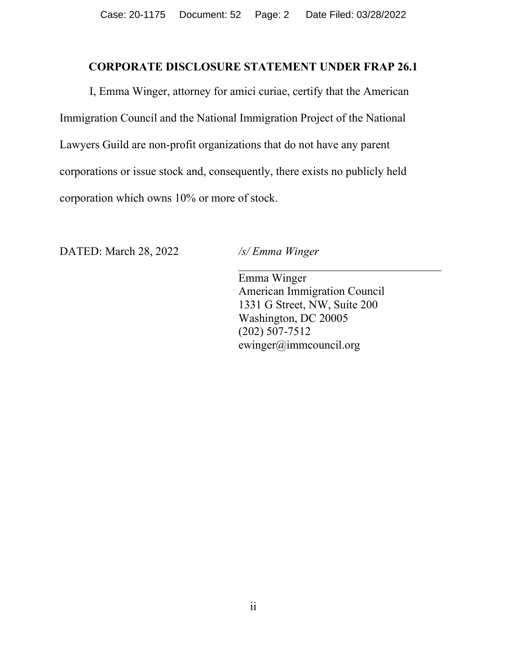#### **CORPORATE DISCLOSURE STATEMENT UNDER FRAP 26.1**

<span id="page-1-0"></span>I, Emma Winger, attorney for amici curiae, certify that the American Immigration Council and the National Immigration Project of the National Lawyers Guild are non-profit organizations that do not have any parent corporations or issue stock and, consequently, there exists no publicly held corporation which owns 10% or more of stock.

DATED: March 28, 2022 */s/ Emma Winger*

Emma Winger American Immigration Council 1331 G Street, NW, Suite 200 Washington, DC 20005 (202) 507-7512 ewinger@immcouncil.org

 $\mathcal{L}_\text{max}$  , and the set of the set of the set of the set of the set of the set of the set of the set of the set of the set of the set of the set of the set of the set of the set of the set of the set of the set of the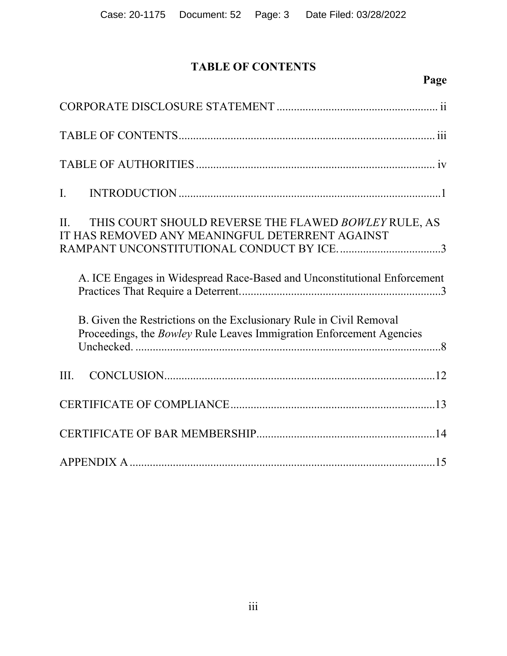# **TABLE OF CONTENTS**

# **Page**

<span id="page-2-0"></span>

| THIS COURT SHOULD REVERSE THE FLAWED BOWLEY RULE, AS<br>II.<br>IT HAS REMOVED ANY MEANINGFUL DETERRENT AGAINST<br>RAMPANT UNCONSTITUTIONAL CONDUCT BY ICE3 |
|------------------------------------------------------------------------------------------------------------------------------------------------------------|
| A. ICE Engages in Widespread Race-Based and Unconstitutional Enforcement                                                                                   |
| B. Given the Restrictions on the Exclusionary Rule in Civil Removal<br>Proceedings, the <i>Bowley</i> Rule Leaves Immigration Enforcement Agencies         |
| III.                                                                                                                                                       |
|                                                                                                                                                            |
|                                                                                                                                                            |
|                                                                                                                                                            |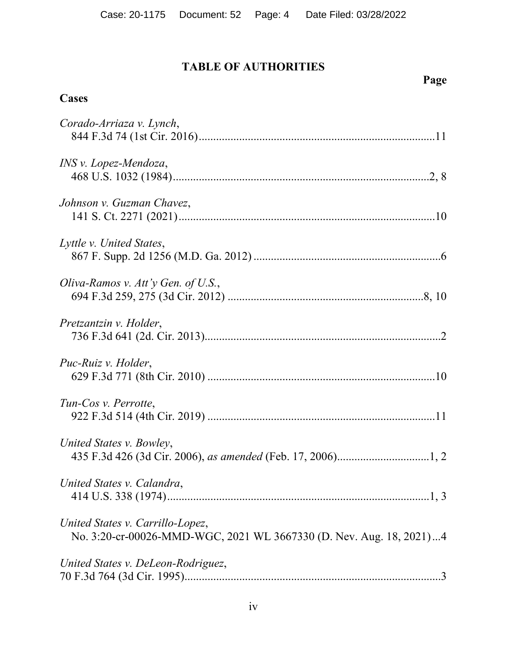# <span id="page-3-0"></span>**TABLE OF AUTHORITIES**

# **Page**

# **Cases**

| Corado-Arriaza v. Lynch,                                                                                |
|---------------------------------------------------------------------------------------------------------|
| INS v. Lopez-Mendoza,                                                                                   |
| Johnson v. Guzman Chavez,                                                                               |
| Lyttle v. United States,                                                                                |
| Oliva-Ramos v. Att'y Gen. of U.S.,                                                                      |
| Pretzantzin v. Holder,                                                                                  |
| Puc-Ruiz v. Holder,                                                                                     |
| Tun-Cos v. Perrotte,                                                                                    |
| United States v. Bowley,                                                                                |
| United States v. Calandra,                                                                              |
| United States v. Carrillo-Lopez,<br>No. 3:20-cr-00026-MMD-WGC, 2021 WL 3667330 (D. Nev. Aug. 18, 2021)4 |
| United States v. DeLeon-Rodriguez,                                                                      |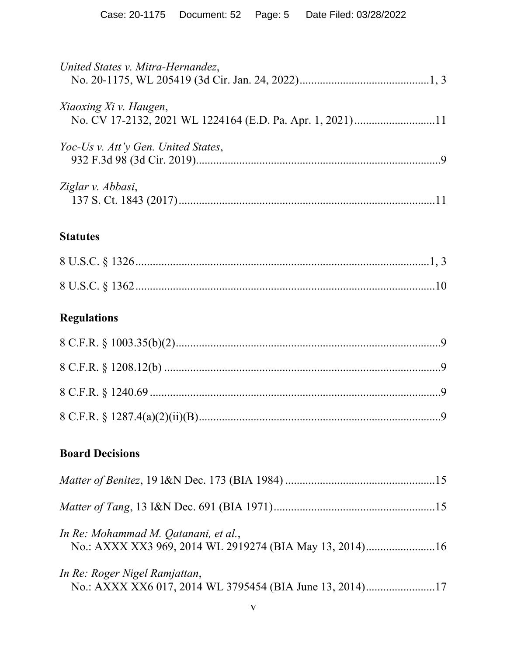| United States v. Mitra-Hernandez,                                                   |  |
|-------------------------------------------------------------------------------------|--|
| Xiaoxing Xi v. Haugen,<br>No. CV 17-2132, 2021 WL 1224164 (E.D. Pa. Apr. 1, 2021)11 |  |
| Yoc-Us v. Att'y Gen. United States,                                                 |  |
| Ziglar v. Abbasi,                                                                   |  |
| <b>Statutes</b>                                                                     |  |

# **Regulations**

## **Board Decisions**

| In Re: Mohammad M. Qatanani, et al.,<br>No.: AXXX XX3 969, 2014 WL 2919274 (BIA May 13, 2014)16 |  |
|-------------------------------------------------------------------------------------------------|--|
| In Re: Roger Nigel Ramjattan,<br>No.: AXXX XX6 017, 2014 WL 3795454 (BIA June 13, 2014)17       |  |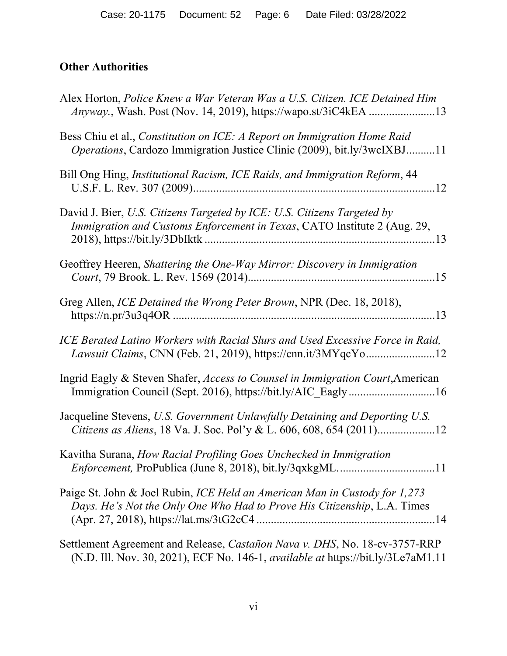## **Other Authorities**

| Alex Horton, Police Knew a War Veteran Was a U.S. Citizen. ICE Detained Him<br>Anyway., Wash. Post (Nov. 14, 2019), https://wapo.st/3iC4kEA 13                        |
|-----------------------------------------------------------------------------------------------------------------------------------------------------------------------|
| Bess Chiu et al., Constitution on ICE: A Report on Immigration Home Raid<br>Operations, Cardozo Immigration Justice Clinic (2009), bit.ly/3wcIXBJ11                   |
| Bill Ong Hing, Institutional Racism, ICE Raids, and Immigration Reform, 44                                                                                            |
| David J. Bier, U.S. Citizens Targeted by ICE: U.S. Citizens Targeted by<br>Immigration and Customs Enforcement in Texas, CATO Institute 2 (Aug. 29,                   |
| Geoffrey Heeren, Shattering the One-Way Mirror: Discovery in Immigration                                                                                              |
| Greg Allen, ICE Detained the Wrong Peter Brown, NPR (Dec. 18, 2018),                                                                                                  |
| ICE Berated Latino Workers with Racial Slurs and Used Excessive Force in Raid,                                                                                        |
| Ingrid Eagly & Steven Shafer, Access to Counsel in Immigration Court, American                                                                                        |
| Jacqueline Stevens, U.S. Government Unlawfully Detaining and Deporting U.S.<br>Citizens as Aliens, 18 Va. J. Soc. Pol'y & L. 606, 608, 654 (2011)12                   |
| Kavitha Surana, How Racial Profiling Goes Unchecked in Immigration                                                                                                    |
| Paige St. John & Joel Rubin, ICE Held an American Man in Custody for 1,273<br>Days. He's Not the Only One Who Had to Prove His Citizenship, L.A. Times                |
| Settlement Agreement and Release, Castañon Nava v. DHS, No. 18-cv-3757-RRP<br>(N.D. Ill. Nov. 30, 2021), ECF No. 146-1, <i>available at https://bit.ly/3Le7aM1.11</i> |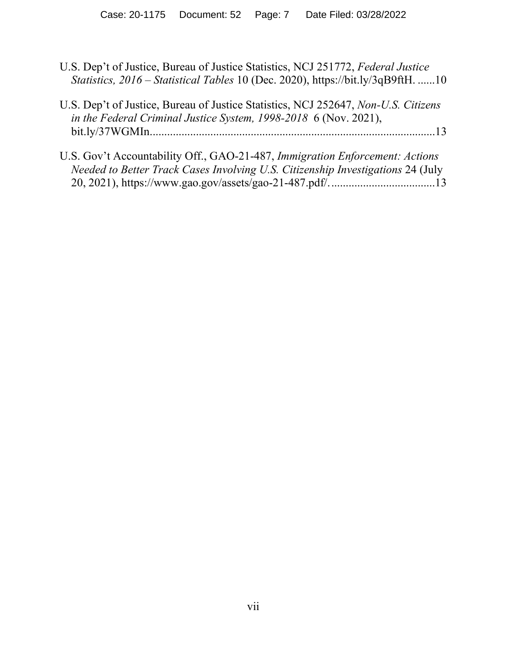- U.S. Dep't of Justice, Bureau of Justice Statistics, NCJ 251772, *Federal Justice Statistics, 2016 – Statistical Tables* 10 (Dec. 2020), https://bit.ly/3qB9ftH. ......10
- U.S. Dep't of Justice, Bureau of Justice Statistics, NCJ 252647, *Non-U.S. Citizens in the Federal Criminal Justice System, 1998-2018* 6 (Nov. 2021), bit.ly/37WGMIn...................................................................................................13
- U.S. Gov't Accountability Off., GAO-21-487, *Immigration Enforcement: Actions Needed to Better Track Cases Involving U.S. Citizenship Investigations* 24 (July 20, 2021), https://www.gao.gov/assets/gao-21-487.pdf/.....................................13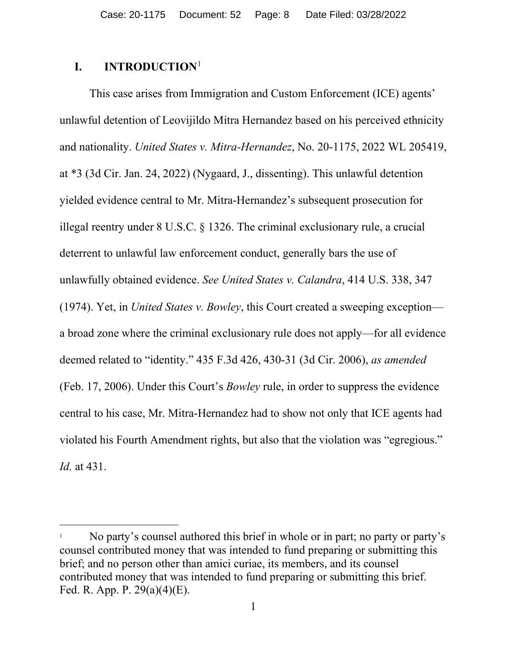### <span id="page-7-0"></span>**I. INTRODUCTION**[1](#page-7-1)

This case arises from Immigration and Custom Enforcement (ICE) agents' unlawful detention of Leovijildo Mitra Hernandez based on his perceived ethnicity and nationality. *United States v. Mitra-Hernandez*, No. 20-1175, 2022 WL 205419, at \*3 (3d Cir. Jan. 24, 2022) (Nygaard, J., dissenting). This unlawful detention yielded evidence central to Mr. Mitra-Hernandez's subsequent prosecution for illegal reentry under 8 U.S.C. § 1326. The criminal exclusionary rule, a crucial deterrent to unlawful law enforcement conduct, generally bars the use of unlawfully obtained evidence. *See United States v. Calandra*, 414 U.S. 338, 347 (1974). Yet, in *United States v. Bowley*, this Court created a sweeping exception a broad zone where the criminal exclusionary rule does not apply—for all evidence deemed related to "identity." 435 F.3d 426, 430-31 (3d Cir. 2006), *as amended* (Feb. 17, 2006). Under this Court's *Bowley* rule, in order to suppress the evidence central to his case, Mr. Mitra-Hernandez had to show not only that ICE agents had violated his Fourth Amendment rights, but also that the violation was "egregious." *Id.* at 431.

<span id="page-7-1"></span>No party's counsel authored this brief in whole or in part; no party or party's counsel contributed money that was intended to fund preparing or submitting this brief; and no person other than amici curiae, its members, and its counsel contributed money that was intended to fund preparing or submitting this brief. Fed. R. App. P. 29(a)(4)(E).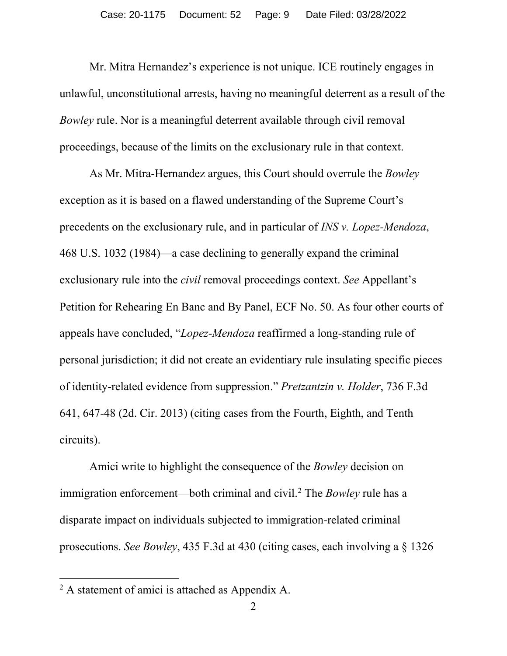Mr. Mitra Hernandez's experience is not unique. ICE routinely engages in unlawful, unconstitutional arrests, having no meaningful deterrent as a result of the *Bowley* rule. Nor is a meaningful deterrent available through civil removal proceedings, because of the limits on the exclusionary rule in that context.

As Mr. Mitra-Hernandez argues, this Court should overrule the *Bowley* exception as it is based on a flawed understanding of the Supreme Court's precedents on the exclusionary rule, and in particular of *INS v. Lopez-Mendoza*, 468 U.S. 1032 (1984)—a case declining to generally expand the criminal exclusionary rule into the *civil* removal proceedings context. *See* Appellant's Petition for Rehearing En Banc and By Panel, ECF No. 50. As four other courts of appeals have concluded, "*Lopez-Mendoza* reaffirmed a long-standing rule of personal jurisdiction; it did not create an evidentiary rule insulating specific pieces of identity-related evidence from suppression." *Pretzantzin v. Holder*, 736 F.3d 641, 647-48 (2d. Cir. 2013) (citing cases from the Fourth, Eighth, and Tenth circuits).

Amici write to highlight the consequence of the *Bowley* decision on immigration enforcement—both criminal and civil.[2](#page-8-0) The *Bowley* rule has a disparate impact on individuals subjected to immigration-related criminal prosecutions. *See Bowley*, 435 F.3d at 430 (citing cases, each involving a § 1326

<span id="page-8-0"></span><sup>&</sup>lt;sup>2</sup> A statement of amici is attached as Appendix A.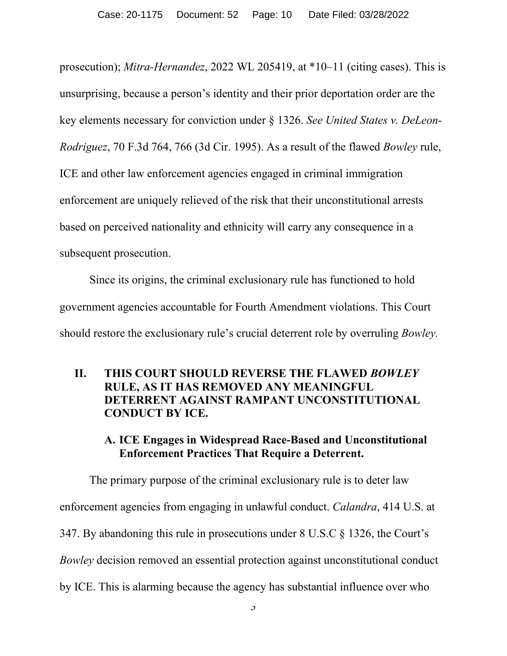prosecution); *Mitra-Hernandez*, 2022 WL 205419, at \*10–11 (citing cases). This is unsurprising, because a person's identity and their prior deportation order are the key elements necessary for conviction under § 1326. *See United States v. DeLeon-Rodriguez*, 70 F.3d 764, 766 (3d Cir. 1995). As a result of the flawed *Bowley* rule, ICE and other law enforcement agencies engaged in criminal immigration enforcement are uniquely relieved of the risk that their unconstitutional arrests based on perceived nationality and ethnicity will carry any consequence in a subsequent prosecution.

Since its origins, the criminal exclusionary rule has functioned to hold government agencies accountable for Fourth Amendment violations. This Court should restore the exclusionary rule's crucial deterrent role by overruling *Bowley.*

### <span id="page-9-0"></span>**II. THIS COURT SHOULD REVERSE THE FLAWED** *BOWLEY*  **RULE, AS IT HAS REMOVED ANY MEANINGFUL DETERRENT AGAINST RAMPANT UNCONSTITUTIONAL CONDUCT BY ICE.**

### **A. ICE Engages in Widespread Race-Based and Unconstitutional Enforcement Practices That Require a Deterrent.**

<span id="page-9-1"></span>The primary purpose of the criminal exclusionary rule is to deter law enforcement agencies from engaging in unlawful conduct. *Calandra*, 414 U.S. at 347. By abandoning this rule in prosecutions under 8 U.S.C § 1326, the Court's *Bowley* decision removed an essential protection against unconstitutional conduct by ICE. This is alarming because the agency has substantial influence over who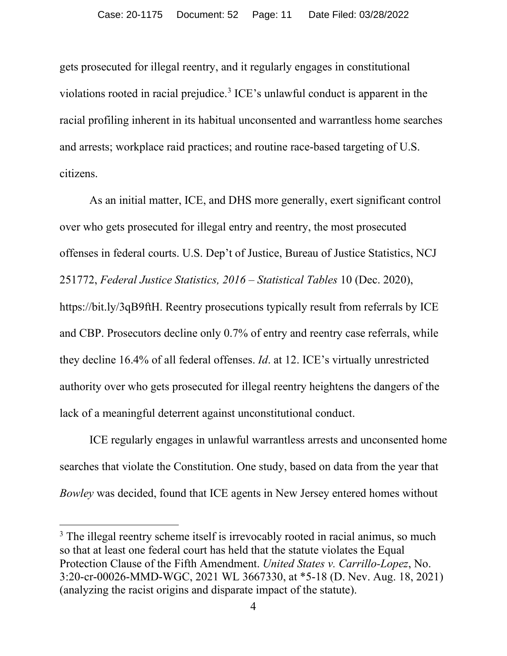gets prosecuted for illegal reentry, and it regularly engages in constitutional violations rooted in racial prejudice.[3](#page-10-0) ICE's unlawful conduct is apparent in the racial profiling inherent in its habitual unconsented and warrantless home searches and arrests; workplace raid practices; and routine race-based targeting of U.S. citizens.

As an initial matter, ICE, and DHS more generally, exert significant control over who gets prosecuted for illegal entry and reentry, the most prosecuted offenses in federal courts. U.S. Dep't of Justice, Bureau of Justice Statistics, NCJ 251772, *Federal Justice Statistics, 2016 – Statistical Tables* 10 (Dec. 2020), https://bit.ly/3qB9ftH. Reentry prosecutions typically result from referrals by ICE and CBP. Prosecutors decline only 0.7% of entry and reentry case referrals, while they decline 16.4% of all federal offenses. *Id*. at 12. ICE's virtually unrestricted authority over who gets prosecuted for illegal reentry heightens the dangers of the lack of a meaningful deterrent against unconstitutional conduct.

ICE regularly engages in unlawful warrantless arrests and unconsented home searches that violate the Constitution. One study, based on data from the year that *Bowley* was decided, found that ICE agents in New Jersey entered homes without

<span id="page-10-0"></span><sup>&</sup>lt;sup>3</sup> The illegal reentry scheme itself is irrevocably rooted in racial animus, so much so that at least one federal court has held that the statute violates the Equal Protection Clause of the Fifth Amendment. *United States v. Carrillo-Lopez*, No. 3:20-cr-00026-MMD-WGC, 2021 WL 3667330, at \*5-18 (D. Nev. Aug. 18, 2021) (analyzing the racist origins and disparate impact of the statute).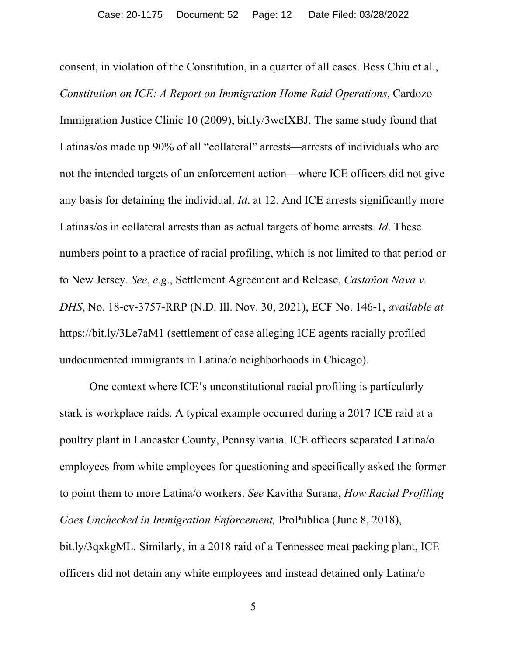consent, in violation of the Constitution, in a quarter of all cases. Bess Chiu et al., *Constitution on ICE: A Report on Immigration Home Raid Operations*, Cardozo Immigration Justice Clinic 10 (2009), bit.ly/3wcIXBJ. The same study found that Latinas/os made up 90% of all "collateral" arrests—arrests of individuals who are not the intended targets of an enforcement action—where ICE officers did not give any basis for detaining the individual. *Id*. at 12. And ICE arrests significantly more Latinas/os in collateral arrests than as actual targets of home arrests. *Id*. These numbers point to a practice of racial profiling, which is not limited to that period or to New Jersey. *See*, *e*.*g*., Settlement Agreement and Release, *Castañon Nava v. DHS*, No. 18-cv-3757-RRP (N.D. Ill. Nov. 30, 2021), ECF No. 146-1, *available at* https://bit.ly/3Le7aM1 (settlement of case alleging ICE agents racially profiled undocumented immigrants in Latina/o neighborhoods in Chicago).

One context where ICE's unconstitutional racial profiling is particularly stark is workplace raids. A typical example occurred during a 2017 ICE raid at a poultry plant in Lancaster County, Pennsylvania. ICE officers separated Latina/o employees from white employees for questioning and specifically asked the former to point them to more Latina/o workers. *See* Kavitha Surana, *How Racial Profiling Goes Unchecked in Immigration Enforcement,* ProPublica (June 8, 2018), [bit.ly/3qxkgML.](https://bit.ly/3qxkgML) Similarly, in a 2018 raid of a Tennessee meat packing plant, ICE officers did not detain any white employees and instead detained only Latina/o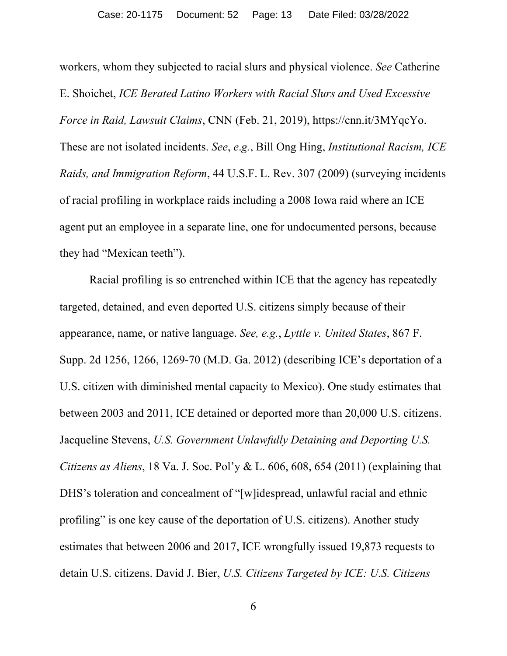workers, whom they subjected to racial slurs and physical violence. *See* Catherine E. Shoichet, *ICE Berated Latino Workers with Racial Slurs and Used Excessive Force in Raid, Lawsuit Claims*, CNN (Feb. 21, 2019), https://cnn.it/3MYqcYo. These are not isolated incidents. *See*, *e*.*g.*, Bill Ong Hing, *Institutional Racism, ICE Raids, and Immigration Reform*, 44 U.S.F. L. Rev. 307 (2009) (surveying incidents of racial profiling in workplace raids including a 2008 Iowa raid where an ICE agent put an employee in a separate line, one for undocumented persons, because they had "Mexican teeth").

Racial profiling is so entrenched within ICE that the agency has repeatedly targeted, detained, and even deported U.S. citizens simply because of their appearance, name, or native language. *See, e.g.*, *Lyttle v. United States*, 867 F. Supp. 2d 1256, 1266, 1269-70 (M.D. Ga. 2012) (describing ICE's deportation of a U.S. citizen with diminished mental capacity to Mexico). One study estimates that between 2003 and 2011, ICE detained or deported more than 20,000 U.S. citizens. Jacqueline Stevens, *U.S. Government Unlawfully Detaining and Deporting U.S. Citizens as Aliens*, 18 Va. J. Soc. Pol'y & L. 606, 608, 654 (2011) (explaining that DHS's toleration and concealment of "[w]idespread, unlawful racial and ethnic profiling" is one key cause of the deportation of U.S. citizens). Another study estimates that between 2006 and 2017, ICE wrongfully issued 19,873 requests to detain U.S. citizens. David J. Bier, *U.S. Citizens Targeted by ICE: U.S. Citizens*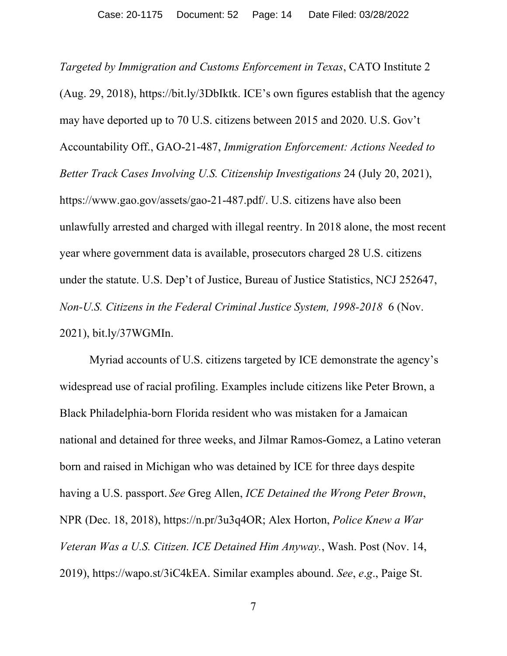*Targeted by Immigration and Customs Enforcement in Texas*, CATO Institute 2 (Aug. 29, 2018), [h](https://bit.ly/36qr8UU)ttps://bit.ly/3DbIktk. ICE's own figures establish that the agency may have deported up to 70 U.S. citizens between 2015 and 2020. U.S. Gov't Accountability Off., GAO-21-487, *Immigration Enforcement: Actions Needed to Better Track Cases Involving U.S. Citizenship Investigations* 24 (July 20, 2021), https://www.gao.gov/assets/gao-21-487.pdf/. U.S. citizens have also been unlawfully arrested and charged with illegal reentry. In 2018 alone, the most recent year where government data is available, prosecutors charged 28 U.S. citizens under the statute. U.S. Dep't of Justice, Bureau of Justice Statistics, NCJ 252647, *Non-U.S. Citizens in the Federal Criminal Justice System, 1998-2018* 6 (Nov. 2021), bit.ly/37WGMIn.

Myriad accounts of U.S. citizens targeted by ICE demonstrate the agency's widespread use of racial profiling. Examples include citizens like Peter Brown, a Black Philadelphia-born Florida resident who was mistaken for a Jamaican national and detained for three weeks, and Jilmar Ramos-Gomez, a Latino veteran born and raised in Michigan who was detained by ICE for three days despite having a U.S. passport. *See* Greg Allen, *ICE Detained the Wrong Peter Brown*, NPR (Dec. 18, 2018), https://n.pr/3u3q4OR; Alex Horton, *Police Knew a War Veteran Was a U.S. Citizen. ICE Detained Him Anyway.*, Wash. Post (Nov. 14, 2019), https://wapo.st/3iC4kEA. Similar examples abound. *See*, *e*.*g*., Paige St.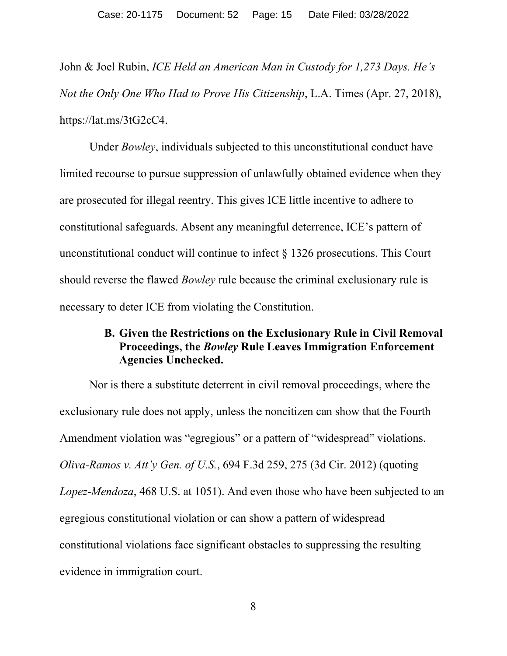John & Joel Rubin, *ICE Held an American Man in Custody for 1,273 Days. He's Not the Only One Who Had to Prove His Citizenship*, L.A. Times (Apr. 27, 2018), https://lat.ms/3tG2cC4.

Under *Bowley*, individuals subjected to this unconstitutional conduct have limited recourse to pursue suppression of unlawfully obtained evidence when they are prosecuted for illegal reentry. This gives ICE little incentive to adhere to constitutional safeguards. Absent any meaningful deterrence, ICE's pattern of unconstitutional conduct will continue to infect § 1326 prosecutions. This Court should reverse the flawed *Bowley* rule because the criminal exclusionary rule is necessary to deter ICE from violating the Constitution.

### <span id="page-14-0"></span>**B. Given the Restrictions on the Exclusionary Rule in Civil Removal Proceedings, the** *Bowley* **Rule Leaves Immigration Enforcement Agencies Unchecked.**

Nor is there a substitute deterrent in civil removal proceedings, where the exclusionary rule does not apply, unless the noncitizen can show that the Fourth Amendment violation was "egregious" or a pattern of "widespread" violations. *Oliva-Ramos v. Att'y Gen. of U.S.*, 694 F.3d 259, 275 (3d Cir. 2012) (quoting *Lopez-Mendoza*, 468 U.S. at 1051). And even those who have been subjected to an egregious constitutional violation or can show a pattern of widespread constitutional violations face significant obstacles to suppressing the resulting evidence in immigration court.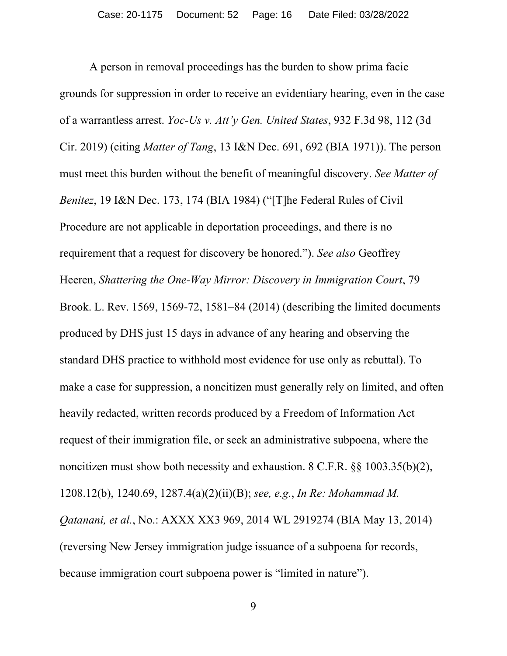A person in removal proceedings has the burden to show prima facie grounds for suppression in order to receive an evidentiary hearing, even in the case of a warrantless arrest. *Yoc-Us v. Att'y Gen. United States*, 932 F.3d 98, 112 (3d Cir. 2019) (citing *Matter of Tang*, 13 I&N Dec. 691, 692 (BIA 1971)). The person must meet this burden without the benefit of meaningful discovery. *See Matter of Benitez*, 19 I&N Dec. 173, 174 (BIA 1984) ("[T]he Federal Rules of Civil Procedure are not applicable in deportation proceedings, and there is no requirement that a request for discovery be honored."). *See also* Geoffrey Heeren, *Shattering the One-Way Mirror: Discovery in Immigration Court*, 79 Brook. L. Rev. 1569, 1569-72, 1581–84 (2014) (describing the limited documents produced by DHS just 15 days in advance of any hearing and observing the standard DHS practice to withhold most evidence for use only as rebuttal). To make a case for suppression, a noncitizen must generally rely on limited, and often heavily redacted, written records produced by a Freedom of Information Act request of their immigration file, or seek an administrative subpoena, where the noncitizen must show both necessity and exhaustion. 8 C.F.R. §§ 1003.35(b)(2), 1208.12(b), 1240.69, 1287.4(a)(2)(ii)(B); *see, e.g.*, *In Re: Mohammad M. Qatanani, et al.*, No.: AXXX XX3 969, 2014 WL 2919274 (BIA May 13, 2014) (reversing New Jersey immigration judge issuance of a subpoena for records, because immigration court subpoena power is "limited in nature").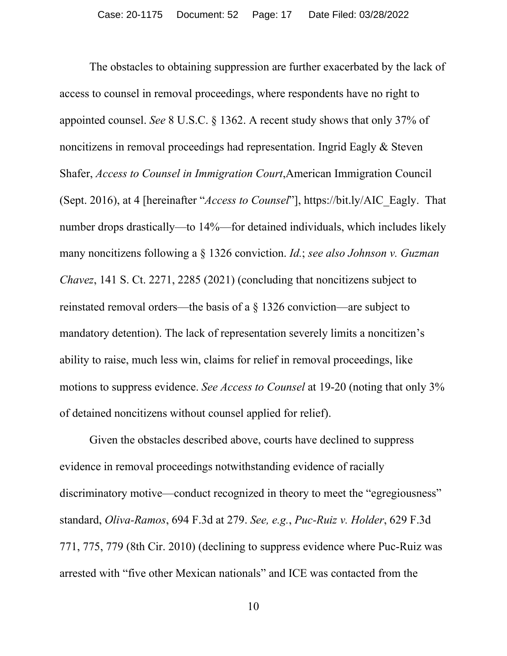The obstacles to obtaining suppression are further exacerbated by the lack of access to counsel in removal proceedings, where respondents have no right to appointed counsel. *See* 8 U.S.C. § 1362. A recent study shows that only 37% of noncitizens in removal proceedings had representation. Ingrid Eagly & Steven Shafer, *Access to Counsel in Immigration Court*,American Immigration Council (Sept. 2016), at 4 [hereinafter "*Access to Counsel*"], https://bit.ly/AIC\_Eagly. That number drops drastically—to 14%—for detained individuals, which includes likely many noncitizens following a § 1326 conviction. *Id.*; *see also Johnson v. Guzman Chavez*, 141 S. Ct. 2271, 2285 (2021) (concluding that noncitizens subject to reinstated removal orders—the basis of a § 1326 conviction—are subject to mandatory detention). The lack of representation severely limits a noncitizen's ability to raise, much less win, claims for relief in removal proceedings, like motions to suppress evidence. *See Access to Counsel* at 19-20 (noting that only 3% of detained noncitizens without counsel applied for relief).

Given the obstacles described above, courts have declined to suppress evidence in removal proceedings notwithstanding evidence of racially discriminatory motive—conduct recognized in theory to meet the "egregiousness" standard, *Oliva-Ramos*, 694 F.3d at 279. *See, e.g.*, *Puc-Ruiz v. Holder*, 629 F.3d 771, 775, 779 (8th Cir. 2010) (declining to suppress evidence where Puc-Ruiz was arrested with "five other Mexican nationals" and ICE was contacted from the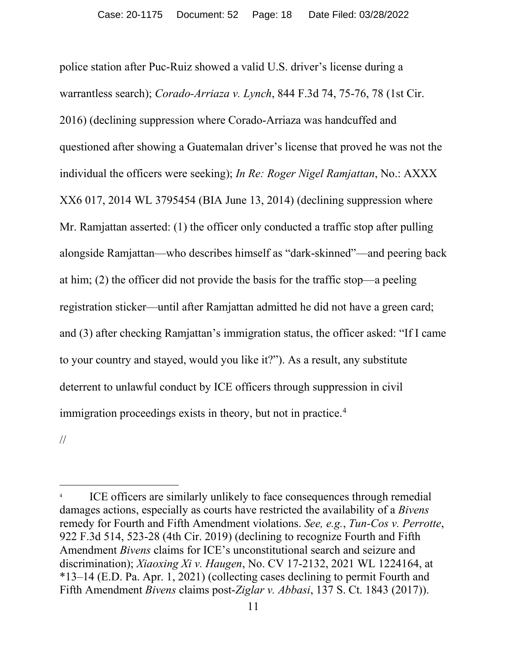police station after Puc-Ruiz showed a valid U.S. driver's license during a warrantless search); *Corado-Arriaza v. Lynch*, 844 F.3d 74, 75-76, 78 (1st Cir. 2016) (declining suppression where Corado-Arriaza was handcuffed and questioned after showing a Guatemalan driver's license that proved he was not the individual the officers were seeking); *In Re: Roger Nigel Ramjattan*, No.: AXXX XX6 017, 2014 WL 3795454 (BIA June 13, 2014) (declining suppression where Mr. Ramjattan asserted: (1) the officer only conducted a traffic stop after pulling alongside Ramjattan—who describes himself as "dark-skinned"—and peering back at him; (2) the officer did not provide the basis for the traffic stop—a peeling registration sticker—until after Ramjattan admitted he did not have a green card; and (3) after checking Ramjattan's immigration status, the officer asked: "If I came to your country and stayed, would you like it?"). As a result, any substitute deterrent to unlawful conduct by ICE officers through suppression in civil immigration proceedings exists in theory, but not in practice.<sup>[4](#page-17-0)</sup>

//

<span id="page-17-0"></span>ICE officers are similarly unlikely to face consequences through remedial damages actions, especially as courts have restricted the availability of a *Bivens*  remedy for Fourth and Fifth Amendment violations. *See, e.g.*, *Tun-Cos v. Perrotte*, 922 F.3d 514, 523-28 (4th Cir. 2019) (declining to recognize Fourth and Fifth Amendment *Bivens* claims for ICE's unconstitutional search and seizure and discrimination); *Xiaoxing Xi v. Haugen*, No. CV 17-2132, 2021 WL 1224164, at \*13–14 (E.D. Pa. Apr. 1, 2021) (collecting cases declining to permit Fourth and Fifth Amendment *Bivens* claims post-*Ziglar v. Abbasi*, 137 S. Ct. 1843 (2017)).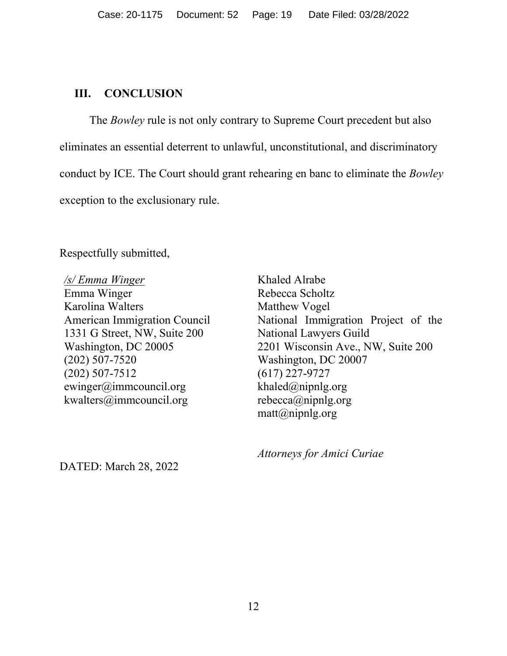#### <span id="page-18-0"></span>**III. CONCLUSION**

The *Bowley* rule is not only contrary to Supreme Court precedent but also eliminates an essential deterrent to unlawful, unconstitutional, and discriminatory conduct by ICE. The Court should grant rehearing en banc to eliminate the *Bowley* exception to the exclusionary rule.

Respectfully submitted,

*/s/ Emma Winger* Emma Winger Karolina Walters American Immigration Council 1331 G Street, NW, Suite 200 Washington, DC 20005 (202) 507-7520 (202) 507-7512 ewinger@immcouncil.org kwalters@immcouncil.org

Khaled Alrabe Rebecca Scholtz Matthew Vogel National Immigration Project of the National Lawyers Guild 2201 Wisconsin Ave., NW, Suite 200 Washington, DC 20007 (617) 227-9727 khaled $@$ nipnlg.org rebecca@nipnlg.org matt@nipnlg.org

*Attorneys for Amici Curiae*

DATED: March 28, 2022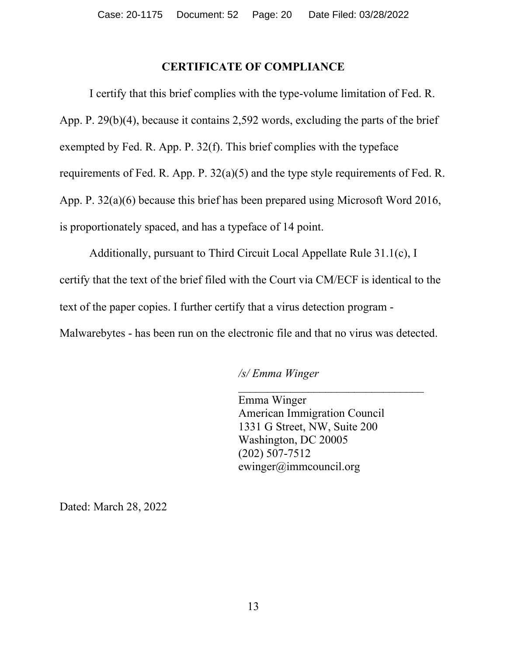#### **CERTIFICATE OF COMPLIANCE**

<span id="page-19-0"></span>I certify that this brief complies with the type-volume limitation of Fed. R. App. P. 29(b)(4), because it contains 2,592 words, excluding the parts of the brief exempted by Fed. R. App. P. 32(f). This brief complies with the typeface requirements of Fed. R. App. P. 32(a)(5) and the type style requirements of Fed. R. App. P. 32(a)(6) because this brief has been prepared using Microsoft Word 2016, is proportionately spaced, and has a typeface of 14 point.

Additionally, pursuant to Third Circuit Local Appellate Rule 31.1(c), I certify that the text of the brief filed with the Court via CM/ECF is identical to the text of the paper copies. I further certify that a virus detection program - Malwarebytes - has been run on the electronic file and that no virus was detected.

#### */s/ Emma Winger*

Emma Winger American Immigration Council 1331 G Street, NW, Suite 200 Washington, DC 20005 (202) 507-7512 ewinger@immcouncil.org

\_\_\_\_\_\_\_\_\_\_\_\_\_\_\_\_\_\_\_\_\_\_\_\_\_\_\_\_\_\_\_\_

Dated: March 28, 2022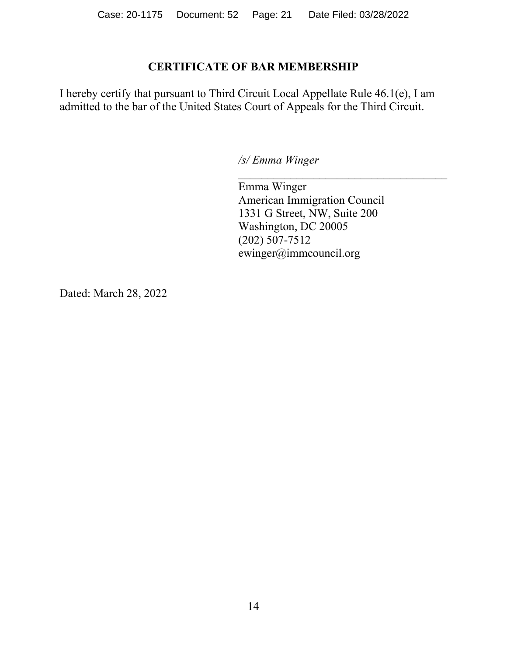### **CERTIFICATE OF BAR MEMBERSHIP**

<span id="page-20-0"></span>I hereby certify that pursuant to Third Circuit Local Appellate Rule 46.1(e), I am admitted to the bar of the United States Court of Appeals for the Third Circuit.

*/s/ Emma Winger*

Emma Winger American Immigration Council 1331 G Street, NW, Suite 200 Washington, DC 20005 (202) 507-7512 ewinger@immcouncil.org

 $\mathcal{L}_\text{max}$  , and the set of the set of the set of the set of the set of the set of the set of the set of the set of the set of the set of the set of the set of the set of the set of the set of the set of the set of the

Dated: March 28, 2022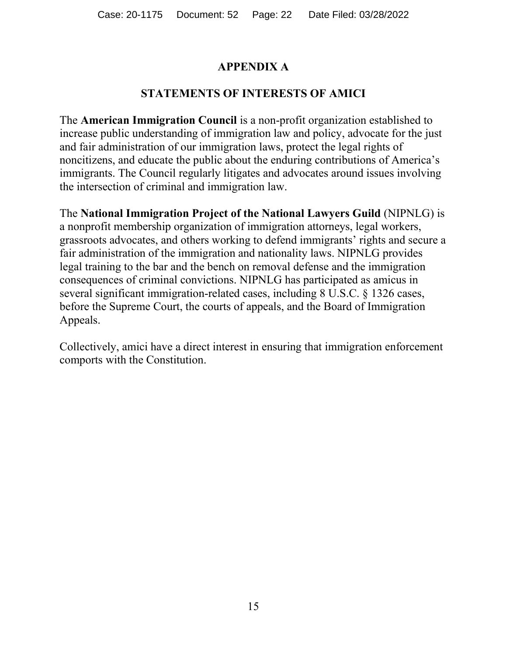## **APPENDIX A**

## **STATEMENTS OF INTERESTS OF AMICI**

<span id="page-21-0"></span>The **American Immigration Council** is a non-profit organization established to increase public understanding of immigration law and policy, advocate for the just and fair administration of our immigration laws, protect the legal rights of noncitizens, and educate the public about the enduring contributions of America's immigrants. The Council regularly litigates and advocates around issues involving the intersection of criminal and immigration law.

The **National Immigration Project of the National Lawyers Guild** (NIPNLG) is a nonprofit membership organization of immigration attorneys, legal workers, grassroots advocates, and others working to defend immigrants' rights and secure a fair administration of the immigration and nationality laws. NIPNLG provides legal training to the bar and the bench on removal defense and the immigration consequences of criminal convictions. NIPNLG has participated as amicus in several significant immigration-related cases, including 8 U.S.C. § 1326 cases, before the Supreme Court, the courts of appeals, and the Board of Immigration Appeals.

Collectively, amici have a direct interest in ensuring that immigration enforcement comports with the Constitution.